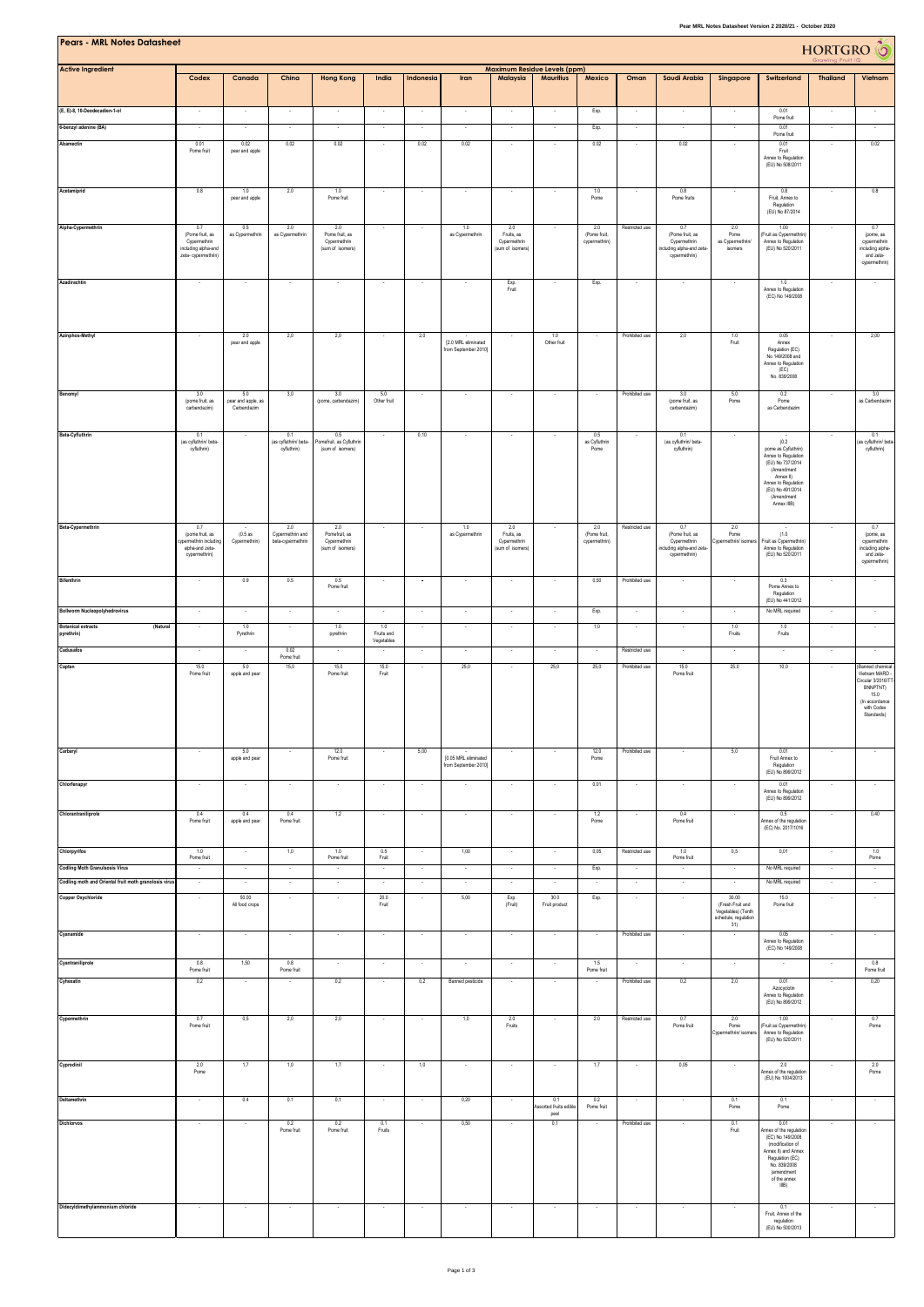| Pear MRL Notes Datasheet Version 2 2020/21 - October 2020<br><b>Pears - MRL Notes Datasheet</b><br>HORTGRO <sup>6</sup><br><b>Maximum Residue Levels (ppm)</b> |                                                                               |                                          |                                              |                                                    |                          |                          |                                              |                                                |                                              |                                      |                          |                                                                             |                                                                         |                                                                                                                                                                        |                          |                                                                                                                          |
|----------------------------------------------------------------------------------------------------------------------------------------------------------------|-------------------------------------------------------------------------------|------------------------------------------|----------------------------------------------|----------------------------------------------------|--------------------------|--------------------------|----------------------------------------------|------------------------------------------------|----------------------------------------------|--------------------------------------|--------------------------|-----------------------------------------------------------------------------|-------------------------------------------------------------------------|------------------------------------------------------------------------------------------------------------------------------------------------------------------------|--------------------------|--------------------------------------------------------------------------------------------------------------------------|
| <b>Active Ingredient</b>                                                                                                                                       | Codex                                                                         | Canada                                   | China                                        | <b>Hong Kong</b>                                   | India                    | Indonesia                | Iran                                         | Malaysia                                       | <b>Mauritius</b>                             | Mexico                               | Oman                     | Saudi Arabia                                                                | Singapore                                                               | Switzerland                                                                                                                                                            | <b>Thailand</b>          | Vietnam                                                                                                                  |
| (E, E)-8, 10-Deodecadien-1-ol                                                                                                                                  |                                                                               |                                          |                                              |                                                    | ×                        |                          |                                              |                                                | $\cdot$                                      | Exp.                                 |                          |                                                                             |                                                                         | 0.01<br>Pome fruit                                                                                                                                                     |                          |                                                                                                                          |
| 6-benzyl adenine (BA)                                                                                                                                          |                                                                               |                                          |                                              |                                                    |                          |                          |                                              |                                                |                                              | Exp.                                 |                          |                                                                             |                                                                         | 0.01<br>Pome fruit                                                                                                                                                     |                          |                                                                                                                          |
| Abamectin                                                                                                                                                      | 0.01<br>Pome fruit                                                            | 0.02<br>pear and apple                   | 0.02                                         | 0.02                                               | $\epsilon$               | 0.02                     | 0.02                                         |                                                | $\epsilon$                                   | 0.02                                 | $\cdot$                  | 0.02                                                                        | $\overline{\phantom{a}}$                                                | 0.01<br>Fruit<br>Annex to Regulation<br>(EU) No 508/2011                                                                                                               | $\sim$                   | 0.02                                                                                                                     |
| Acetamiprid                                                                                                                                                    | 0.8                                                                           | 1.0<br>pear and apple                    | 2.0                                          | 1.0<br>Pome fruit                                  | $\overline{\phantom{a}}$ |                          | $\overline{\phantom{a}}$                     |                                                |                                              | 1.0<br>Pome                          |                          | 0.8<br>Pome fruits                                                          |                                                                         | 0.8<br>Fruit, Annex to<br>Regulation                                                                                                                                   |                          | 0.8                                                                                                                      |
| Alpha-Cypermethrin                                                                                                                                             | 0.7                                                                           | 0.5                                      | 2.0                                          | 2.0                                                |                          |                          | 1.0                                          | 2.0                                            |                                              | 2.0                                  | Restricted use           | 0.7                                                                         | 2.0                                                                     | (EU) No 87/2014<br>1.00                                                                                                                                                |                          | 0.7                                                                                                                      |
|                                                                                                                                                                | (Pome fruit, as<br>Cypermethrin<br>including alpha-and<br>zeta- cypermethrin) | as Cypermethrin                          | as Cypermethrin                              | Pome fruit, as<br>Cypermethrin<br>(sum of isomers) |                          |                          | as Cypermethrin                              | Fruits, as<br>Cypermethrin<br>(sum of isomers) |                                              | (Pome fruit<br>cypermethrin)         |                          | (Pome fruit, as<br>Cypermethrin<br>cluding alpha-and zeta-<br>cypermethrin) | Pome<br>as Cypermethrin/<br>isomers                                     | Fruit as Cypermethrin<br>Annex to Regulation<br>(EU) No 520/2011                                                                                                       |                          | (pome, as<br>cypermethrin<br>including alpha-<br>and zeta-<br>cypermethrin)                                              |
| Azadirachtin                                                                                                                                                   | ÷.                                                                            |                                          | $\sim$                                       | $\sim$                                             | $\sim$                   | $\sim$                   |                                              | Exp.<br>Fruit                                  |                                              | Exp.                                 |                          | ÷.                                                                          |                                                                         | 1.0<br>Annex to Regulation<br>(EC) No 149/2008                                                                                                                         |                          | $\sim$                                                                                                                   |
| <b>Azinphos Methyl</b>                                                                                                                                         | $\sim$                                                                        | 2.0<br>pear and apple                    | 2,0                                          | 2,0                                                | $\sim$                   | 2,0                      | [2.0 MRL eliminated                          | ٠.                                             | 1.0<br>Other fruit                           | $\sim$                               | Prohibited use           | 2,0                                                                         | 1.0<br>Fruit                                                            | 0.05<br>Annex                                                                                                                                                          | $\overline{\phantom{a}}$ | 2,00                                                                                                                     |
|                                                                                                                                                                |                                                                               |                                          |                                              |                                                    |                          |                          | from September 2010]                         |                                                |                                              |                                      |                          |                                                                             |                                                                         | Regulation (EC)<br>No 149/2008 and<br>Annex to Regulation<br>(EC)<br>No. 839/2008                                                                                      |                          |                                                                                                                          |
| Benomyl                                                                                                                                                        | 3.0<br>(pome fruit, as<br>carbendazim)                                        | 5.0<br>pear and apple, as<br>Carbendazim | 3.0                                          | 3.0<br>(pome, carbendazim)                         | 5.0<br>Other fruit       | ÷.                       |                                              |                                                | $\sim$                                       | $\sim$                               | Prohibited use           | 3.0<br>(pome fruit, as<br>carbendazim)                                      | 5.0<br>Pome                                                             | 0.2<br>Pome<br>as Carbendazim                                                                                                                                          | $\sim$                   | 3.0<br>as Carbendazin                                                                                                    |
| Beta-Cyfluthrin                                                                                                                                                | 0.1<br>(as cyfluthrin/ beta-                                                  |                                          | 0.1<br>(as cyfluthrin/ beta-                 | 0.5<br>Pomefruit, as Cyfluthrin                    | $\cdot$                  | 0,10                     |                                              |                                                |                                              | 0.5<br>as Cyfluthrin                 |                          | 0.1<br>(as cyfluthrin/ beta-                                                |                                                                         | (0.2)                                                                                                                                                                  |                          | 0.1<br>(as cyfluthrin/ beta-                                                                                             |
|                                                                                                                                                                | cyfluthrin)                                                                   |                                          | cyfluthrin)                                  | (sum of isomers)                                   |                          |                          |                                              |                                                |                                              | Pome                                 |                          | cyfluthrin)                                                                 |                                                                         | pome as Cyfluthrin)<br>Annex to Regulation<br>(EU) No 737/2014<br>(Amendment<br>Annex II)<br>Annex to Regulation<br>(EU) No 491/2014<br>(Amendment<br>Annex IIIB)      |                          | cyfuthrin)                                                                                                               |
| Beta-Cypermethrin                                                                                                                                              | 07<br>(pome fruit, as<br>permethrin including                                 | (0.5as<br>Cypermethrin)                  | 2.0<br>Cypermethrin and<br>beta-cypermethrin | 2.0<br>Pomefruit, as<br>Cypermethrin               | ×                        |                          | 1.0<br>as Cypermethrin                       | 2.0<br>Fruits, as<br>Cypermethrin              |                                              | 2.0<br>(Pome fruit,<br>cypermethrin) | Restricted use           | 0.7<br>(Pome fruit, as                                                      | 2.0<br>Pome<br>Cypermethrin/ is                                         | (1.0)<br>Fruit as Cypermethrin)                                                                                                                                        |                          | 0.7<br>(pome, as<br>cypermethrin                                                                                         |
|                                                                                                                                                                | alpha-and zeta-<br>cypermethrin)                                              |                                          |                                              | (sum of isomers)                                   |                          |                          |                                              | (sum of isomers)                               |                                              |                                      |                          | Cypermethrin<br>including alpha-and zeta-<br>cypermethrin)                  |                                                                         | Annex to Regulation<br>(EU) No 520/2011                                                                                                                                |                          | including alpha-<br>and zeta-<br>cypermethrin)                                                                           |
| <b>Bifenthrin</b>                                                                                                                                              | $\sim$                                                                        | 0.9                                      | 0.5                                          | 0.5<br>Pome fruit                                  | $\sim$                   | $\overline{\phantom{a}}$ | $\sim$                                       | $\sim$                                         | $\cdot$                                      | 0,50                                 | Prohibited use           | $\sim$                                                                      | $\sim$                                                                  | 0.3<br>Pome Annex to<br>Regulation                                                                                                                                     | $\cdot$                  | $\sim$                                                                                                                   |
| Bollworm Nucleopolyhedrovirus                                                                                                                                  | ÷.                                                                            |                                          |                                              |                                                    |                          |                          | ×                                            |                                                | ÷.                                           | Exp.                                 |                          | ×                                                                           |                                                                         | (EU) No 441/2012<br>No MRL required                                                                                                                                    | ÷.                       | in a                                                                                                                     |
| <b>Botanical extracts</b><br>(Natural<br>pyrethrin)                                                                                                            | $\cdot$                                                                       | 1.0<br>Pyrethrin                         | $\sim$                                       | 1.0<br>pyrethrin                                   | 1.0<br>Fruits and        | $\sim$                   | $\cdot$                                      | $\sim$                                         | $\cdot$                                      | 1,0                                  | $\overline{\phantom{a}}$ | $\sim$                                                                      | 1.0<br>Fruits                                                           | 1.0<br>Fruits                                                                                                                                                          | $\cdot$                  | $\sim$                                                                                                                   |
| Cadusafos                                                                                                                                                      | ÷.                                                                            |                                          | 0.02<br>Pome fruit                           |                                                    | Vegetables               | ÷.                       | $\sim$                                       | ÷.                                             | $\sim$                                       | $\sim$                               | Restricted use           | $\sim$                                                                      | $\sim$                                                                  | $\sim$                                                                                                                                                                 | $\sim$                   | $\sim$                                                                                                                   |
| Captan                                                                                                                                                         | 15.0<br>Pome fruit                                                            | 5.0<br>apple and pear                    | 15.0                                         | 15.0<br>Pome fruit                                 | 15.0<br>Fruit            |                          | 25,0                                         |                                                | 25,0                                         | 25,0                                 | Prohibited use           | 15.0<br>Pome fruit                                                          | 25,0                                                                    | 10,0                                                                                                                                                                   | ×                        | (Banned chemical<br>Vietnam MARD<br>Circular 3/2016/TT<br>BNNPTNT)<br>15.0<br>(In accordance<br>with Codex<br>Standards) |
| Carbaryl                                                                                                                                                       |                                                                               | 5.0<br>apple and pear                    |                                              | 12.0<br>Pome fruit                                 |                          | 5,00                     | [0.05 MRL eliminated<br>from September 2010] |                                                |                                              | 12.0<br>Pome                         | Prohibited use           |                                                                             | 5,0                                                                     | 0.01<br>Fruit Annex to<br>Regulation                                                                                                                                   |                          |                                                                                                                          |
| Chlorfenapyr                                                                                                                                                   |                                                                               |                                          |                                              |                                                    |                          |                          |                                              |                                                |                                              | 0,01                                 |                          |                                                                             |                                                                         | (EU) No 899/2012<br>0.01<br>Annex to Regulation                                                                                                                        |                          |                                                                                                                          |
| Chlorantraniliprole                                                                                                                                            | 0.4                                                                           | 0.4                                      | 0.4                                          | 1,2                                                | $\cdot$                  | $\cdot$                  | $\cdot$                                      | $\cdot$                                        | $\cdot$                                      | 1.2                                  |                          | 0.4                                                                         | $\cdot$                                                                 | (EU) No 899/2012<br>0.5                                                                                                                                                | $\cdot$                  | 0,40                                                                                                                     |
|                                                                                                                                                                | Pome fruit                                                                    | apple and pear                           | Pome fruit                                   |                                                    |                          |                          |                                              |                                                |                                              | Pome                                 |                          | Pome fruit                                                                  |                                                                         | Annex of the regulation<br>(EC) No. 2017/1016                                                                                                                          |                          |                                                                                                                          |
| Chlorpyrifos                                                                                                                                                   | 1.0<br>Pome fruit                                                             | $\sim$                                   | 1,0                                          | 1.0<br>Pome fruit                                  | 0.5<br>Fruit             | $\sim$                   | 1,00                                         | $\sim$                                         | $\sim$                                       | 0,05                                 | Restricted use           | 1.0<br>Pome fruit                                                           | 0,5                                                                     | 0,01                                                                                                                                                                   | $\sim$                   | 1.0<br>Pome                                                                                                              |
| <b>Codling Moth Granulsosis Virus</b><br>Codling moth and Oriental fruit moth granolosis virus                                                                 | $\cdot$                                                                       | $\sim$                                   | $\cdot$                                      | $\cdot$                                            | $\cdot$                  | $\cdot$                  | $\cdot$                                      | $\sim$                                         | $\cdot$                                      | Exp.                                 | $\cdot$                  | $\overline{\phantom{a}}$                                                    | $\overline{\phantom{a}}$                                                | No MRL required<br>No MRL required                                                                                                                                     | $\sim$                   | $\sim$                                                                                                                   |
| <b>Copper Oxychloride</b>                                                                                                                                      | $\sim$                                                                        | 50.00<br>All food crops                  | $\sim$                                       | $\sim$                                             | 20.0<br>Fruit            | $\sim$                   | 5,00                                         | Exp.<br>(Fruit)                                | 30.0<br>Fruit product                        | Exp.                                 | $\lambda$                | $\sim$                                                                      | 30.00<br>(Fresh Fruit and<br>Vegetables) (Tenth<br>schedule, regulation | 15.0<br>Pome fruit                                                                                                                                                     | $\lambda$                | $\sim$                                                                                                                   |
| Cyanamide                                                                                                                                                      | $\sim$                                                                        | $\sim$                                   | $\sim$                                       | $\sim$                                             | $\sim$                   | $\sim$                   | $\sim$                                       | $\sim$                                         | $\sim$                                       | $\sim$                               | Prohibited use           | $\sim$                                                                      | 31)<br>$\overline{\phantom{a}}$                                         | 0.05<br>Annex to Regulation<br>(EC) No 149/2008                                                                                                                        | $\sim$                   | $\sim$                                                                                                                   |
| Cyantraniliprole                                                                                                                                               | 0.8<br>Pome fruit                                                             | 1.50                                     | 0.8<br>Pome fruit                            | $\sim$                                             | $\sim$                   | $\sim$                   | $\sim$                                       | $\lambda$                                      | $\cdot$                                      | 1.5<br>Pome fruit                    | ÷.                       | $\sim$                                                                      | $\sim$                                                                  |                                                                                                                                                                        | $\sim$                   | 0.8<br>Pome fruit                                                                                                        |
| Cyhexatin                                                                                                                                                      | 0,2                                                                           | $\sim$                                   |                                              | 0,2                                                | $\sim$                   | 0,2                      | Banned pesticide                             | $\sim$                                         | $\lambda$                                    |                                      | Prohibited use           | 0,2                                                                         | 2,0                                                                     | 0.01<br>Azocyclotin<br>Annex to Regulation<br>(EU) No 899/2012                                                                                                         | $\sim$                   | 0,20                                                                                                                     |
| Cypermethrin                                                                                                                                                   | 0.7<br>Pome fruit                                                             | 0,5                                      | 2,0                                          | 2,0                                                | $\sim$                   |                          | 1,0                                          | 2.0<br>Fruits                                  | ×                                            | 2.0                                  | Restricted use           | 0.7<br>Pome fruit                                                           | 2.0<br>Pome<br>Cypermethrin/ isomer                                     | 1.00<br>(Fruit as Cypermethrin)<br>Annex to Regulation<br>(EU) No 520/2011                                                                                             |                          | 0.7<br>Pome                                                                                                              |
| Cyprodinil                                                                                                                                                     | 2.0<br>Pome                                                                   | 1,7                                      | 1,0                                          | 1,7                                                | $\overline{\phantom{a}}$ | 1,0                      | $\sim$                                       | ٠.                                             | $\overline{\phantom{a}}$                     | 1,7                                  | $\overline{\phantom{a}}$ | 0,05                                                                        |                                                                         | 2.0<br>Annex of the regulation<br>(EU) No 1004/2013                                                                                                                    |                          | 2.0<br>Pome                                                                                                              |
| Deltamethrin                                                                                                                                                   | $\sim$                                                                        | 0.4                                      | 0.1                                          | 0,1                                                | ÷.                       | ÷.                       | 0,20                                         |                                                | 0.1<br><b>Assorted fruits edible</b><br>peel | $0.2$<br>Pome fruit                  |                          | ×                                                                           | $0.1$<br>Pome                                                           | 0.1<br>$\sf Pome$                                                                                                                                                      | ÷.                       | $\sim$                                                                                                                   |
| Dichlorvos                                                                                                                                                     |                                                                               |                                          | 0.2<br>Pome fruit                            | 0.2<br>Pome fruit                                  | 0.1<br>Fruits            |                          | 0,50                                         |                                                | 0,1                                          |                                      | Prohibited use           |                                                                             | 0.1<br>Fruit                                                            | 0.01<br>Annex of the regulation<br>(EC) No 149/2008<br>(modification of<br>Annex II) and Annex<br>Regulation (EC)<br>No. 839/2008<br>(amendment<br>of the annex<br>IIB |                          |                                                                                                                          |
| Didecyldimethylammonium chloride                                                                                                                               |                                                                               |                                          |                                              |                                                    | - 1                      |                          |                                              |                                                |                                              | $\overline{\phantom{a}}$             |                          |                                                                             |                                                                         | 0.1<br>Fruit, Annex of the<br>regulation<br>(EU) No 500/2013                                                                                                           | $\sim$                   |                                                                                                                          |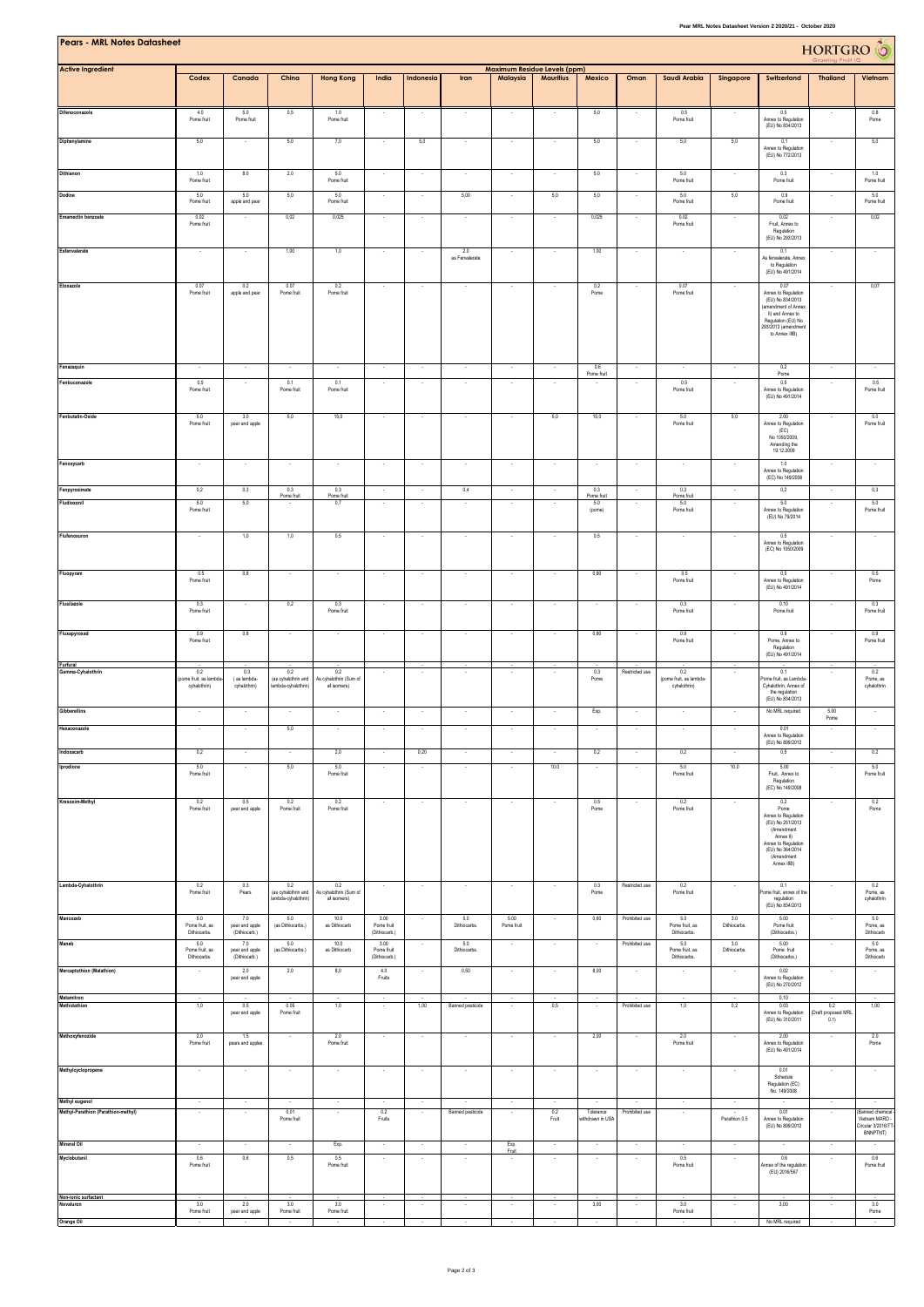| Pear MRL Notes Datasheet Version 2 2020/21 - October 2020 |                                                      |                                        |                                                   |                                               |                                     |                          |                          |                          |                          |                               |                          |                                          |                          |                                                                                                                                                           |                                    |                                                                  |
|-----------------------------------------------------------|------------------------------------------------------|----------------------------------------|---------------------------------------------------|-----------------------------------------------|-------------------------------------|--------------------------|--------------------------|--------------------------|--------------------------|-------------------------------|--------------------------|------------------------------------------|--------------------------|-----------------------------------------------------------------------------------------------------------------------------------------------------------|------------------------------------|------------------------------------------------------------------|
| <b>Pears - MRL Notes Datasheet</b>                        | HORTGRO <sup>6</sup><br>Maximum Residue Levels (ppm) |                                        |                                                   |                                               |                                     |                          |                          |                          |                          |                               |                          |                                          |                          |                                                                                                                                                           |                                    |                                                                  |
| <b>Active Ingredient</b>                                  | Codex                                                | Canada                                 | China                                             | <b>Hong Kong</b>                              | India                               | Indonesia                | Iran                     | Malaysia                 | <b>Mauritius</b>         | Mexico                        | Oman                     | Saudi Arabia                             | Singapore                | Switzerland                                                                                                                                               | <b>Thailand</b>                    | Vietnam                                                          |
| Difenoconazole                                            | 4.0<br>Pome fruit                                    | 5.0<br>Pome fruit                      | 0,5                                               | 1.0<br>Pome fruit                             |                                     |                          |                          |                          |                          | 5,0                           |                          | 0.5<br>Pome fruit                        |                          | 0.5<br>Annex to Regulation<br>(EU) No 834/2013                                                                                                            |                                    | 0.8<br>Pome                                                      |
| Diphenylamine                                             | 5,0                                                  |                                        | 5,0                                               | 7,0                                           |                                     | 5,0                      |                          |                          |                          | 5,0                           |                          | 5,0                                      | 5,0                      | 0.1<br>Annex to Regulation<br>(EU) No 772/2013                                                                                                            |                                    | 5,0                                                              |
| Dithianon                                                 | 1.0<br>Pome fruit                                    | 8.0                                    | 2.0                                               | 5.0<br>Pome fruit                             |                                     |                          |                          |                          |                          | 5.0                           |                          | 5.0<br>Pome fruit                        |                          | 0.3<br>Pome fruit                                                                                                                                         |                                    | 1.0<br>Pome fruit                                                |
| Dodine                                                    | 5.0                                                  | 5.0                                    | 5,0                                               | 5.0                                           |                                     |                          | 5,00                     |                          | 5,0                      | 5,0                           |                          | 5.0                                      | 5,0                      | 0.9                                                                                                                                                       |                                    | 5.0                                                              |
| Emamectin benzoate                                        | Pome fruit<br>0.02                                   | apple and pear                         | 0,02                                              | Pome fruit<br>0,025                           |                                     |                          |                          |                          |                          | 0,025                         |                          | Pome fruit<br>0.02                       |                          | Pome fruit<br>0.02                                                                                                                                        |                                    | Pome fruit<br>0,02                                               |
|                                                           | Pome fruit                                           |                                        |                                                   |                                               |                                     |                          |                          |                          |                          |                               |                          | Pome fruit                               |                          | Fruit, Annex to<br>Regulation<br>(EU) No 293/2013                                                                                                         |                                    |                                                                  |
| Esfenvalerate                                             | $\sim$                                               | $\sim$                                 | 1,00                                              | 1,0                                           | $\cdot$                             |                          | 2.0<br>as Fenvalerate    | $\sim$                   | $\overline{\phantom{a}}$ | 1.00                          | ٠.                       | $\overline{\phantom{a}}$                 | $\sim$                   | 0.1<br>As fenvalerate, Annex<br>to Regulation<br>(EU) No 491/2014                                                                                         | $\overline{\phantom{a}}$           | $\sim$                                                           |
| Etoxazole                                                 | 0.07<br>Pome fruit                                   | 0.2<br>apple and pear                  | 0.07<br>Pome fruit                                | 0.2<br>Pome fruit                             | $\cdot$                             |                          | $\overline{\phantom{a}}$ | ٠                        | ٠                        | 0.2<br>Pome                   |                          | 0.07<br>Pome fruit                       | $\overline{\phantom{a}}$ | 0.07<br>Annex to Regulation<br>(EU) No 834/2013<br>(amendment of Annex<br>II) and Annex to<br>Regulation (EU) No<br>293/2013 (amendment<br>to Annex IIIB) | $\cdot$                            | 0,07                                                             |
| Fenazaquin                                                |                                                      |                                        |                                                   | $\sim$                                        | $\cdot$                             | $\overline{\phantom{a}}$ | $\overline{\phantom{a}}$ | $\overline{\phantom{a}}$ | $\cdot$                  | 0.6<br>Pome fruit             |                          |                                          | $\overline{\phantom{a}}$ | 0.2<br>Pome                                                                                                                                               | $\cdot$                            | $\sim$                                                           |
| Fenbuconazole                                             | 0.5<br>Pome fruit                                    | $\sim$                                 | 0.1<br>Pome fruit                                 | 0.1<br>Pome fruit                             | $\sim$                              | $\sim$                   | $\sim$                   | $\sim$                   | $\lambda$                | $\sim$                        | ÷.                       | 0.5<br>Pome fruit                        | $\sim$                   | 0.5<br>Annex to Regulation<br>(EU) No 491/2014                                                                                                            | $\sim$                             | 0.5<br>Pome fruit                                                |
| Fenbutatin-Oxide                                          | 5.0<br>Pome fruit                                    | 3.0<br>pear and apple                  | 5,0                                               | 15,0                                          | $\sim$                              |                          | ٠.                       | $\overline{\phantom{a}}$ | 5,0                      | 15,0                          |                          | 5.0<br>Pome fruit                        | 5,0                      | 2.00<br>Annex to Regulation<br>(EC)<br>No 1050/2009.<br>Amending the<br>19.12.2009                                                                        |                                    | 5.0<br>Pome fruit                                                |
| Fenoxycarb                                                | ÷.                                                   |                                        |                                                   |                                               | $\sim$                              |                          |                          |                          | ÷.                       | $\sim$                        |                          | ×                                        |                          | 1.0<br>Annex to Regulation<br>(EC) No 149/2008                                                                                                            | $\sim$                             |                                                                  |
| Fenpyroximate                                             | 0.2                                                  | 0,3                                    | 0.3                                               | 0.3                                           | $\sim$                              | - 2                      | 0,4                      |                          |                          | 0.3                           |                          | 0.3                                      | ÷.                       | 0,2                                                                                                                                                       | $\sim$                             | 0,3                                                              |
| Fludioxonil                                               | 5.0<br>Pome fruit                                    | 5,0                                    | Pome frui                                         | Pome frui<br>0,7                              | $\sim$                              |                          | $\overline{\phantom{a}}$ | $\sim$                   |                          | Pome fru<br>5.0<br>(pome)     |                          | Pome fruit<br>5.0<br>Pome fruit          |                          | 5.0<br>Annex to Regulation<br>(EU) No 79/2014                                                                                                             | $\overline{\phantom{a}}$           | 5.0<br>Pome fruit                                                |
| Flufenoxuron                                              | ÷.                                                   | 1,0                                    | 1,0                                               | 0,5                                           | $\lambda$                           | ÷.                       | ÷.                       | ÷.                       | ÷.                       | 0.5                           |                          | ×                                        |                          | 0.5<br>Annex to Regulation<br>(EC) No 1050/2009                                                                                                           | $\sim$                             | $\sim$                                                           |
| Fluopyram                                                 | 0.5<br>Pome fruit                                    | 0,8                                    |                                                   |                                               |                                     |                          |                          |                          |                          | 0,80                          |                          | 0.5<br>Pome fruit                        |                          | 0.5<br>Annex to Regulation<br>(EU) No 491/2014                                                                                                            |                                    | 0.5<br>Pome                                                      |
| Flusilazole                                               | 0.3<br>Pome fruit                                    |                                        | 0,2                                               | 0.3<br>Pome fruit                             |                                     |                          |                          |                          |                          |                               |                          | 0.3<br>Pome fruit                        |                          | 0.10<br>Pome fruit                                                                                                                                        |                                    | 0.3<br>Pome fruit                                                |
| Fluxapyroxad                                              | 0.9<br>Pome fruit                                    | 0,8                                    |                                                   |                                               | ÷.                                  |                          |                          |                          |                          | 0,80                          |                          | 0.9<br>Pome fruit                        |                          | 0.9<br>Pome, Annex to<br>Regulation<br>(EU) No 491/2014                                                                                                   |                                    | 0.9<br>Pome fruit                                                |
| Furfural<br>mma-Cyhalothrin                               | 0.2                                                  | 0.3                                    | 0.2                                               | 0.2                                           |                                     |                          |                          |                          |                          | 0.3                           | Restricted use           | 0.2                                      |                          | 0.1                                                                                                                                                       |                                    | 0.2                                                              |
|                                                           | pome fruit, as lambda<br>cyhalothrin)                | (as lambda-<br>cyhalothrin)            | (as cyhalothrin and<br>.<br>ambda-cyhalothrin)    | As cyhalothrin (Sum of<br>all isomers)        |                                     |                          |                          |                          |                          | Pome                          |                          | (pome fruit, as lambda-<br>cyhalothrin)  |                          | ome fruit, as Lambda<br>Cyhalothrin, Annex of<br>the regulation<br>(EU) No 834/2013                                                                       |                                    | Pome, as<br>cyhalothrin                                          |
| <b>Gibberellins</b>                                       |                                                      |                                        |                                                   |                                               |                                     |                          |                          |                          |                          | Exp.                          |                          |                                          |                          | No MRL required                                                                                                                                           | 5.00<br>Pome                       |                                                                  |
| Hexaconazole                                              | $\overline{\phantom{a}}$                             |                                        | 5,0                                               |                                               | $\sim$                              |                          |                          |                          | $\overline{\phantom{a}}$ | $\sim$                        | $\sim$                   | ٠                                        |                          | 0.01<br>Annex to Regulation<br>(EU) No 899/2012                                                                                                           | $\sim$                             |                                                                  |
| Indoxacarb                                                | 0,2                                                  |                                        |                                                   | 2,0                                           |                                     | 0,20                     |                          |                          |                          | 0,2                           |                          | 0,2                                      |                          | 0.5                                                                                                                                                       |                                    | 0.2                                                              |
| Iprodione                                                 | 5.0<br>Pome fruit                                    |                                        | 5,0                                               | 5.0<br>Pome fruit                             |                                     |                          |                          |                          | 10,0                     |                               |                          | 5.0<br>Pome fruit                        | 10,0                     | 5.00<br>Fruit, Annex to<br>Regulation<br>(EC) No 149/2008                                                                                                 |                                    | 5.0<br>Pome fruit                                                |
| Kresoxim-Methyl                                           | 0.2<br>Pome fruit                                    | 0.5<br>pear and apple                  | 0.2<br>Pome fruit                                 | 0.2<br>Pome fruit                             |                                     |                          |                          |                          |                          | 0.5<br>Pome                   |                          | 0.2<br>Pome fruit                        |                          | 0.2<br>Pome<br>Annex to Regulation<br>(EU) No 251/2013<br>(Amendment<br>Annex II)<br>Annex to Regulation<br>(EU) No 364/2014<br>(Amendment<br>Annex IIIB) |                                    | 0.2<br>Pome                                                      |
| Lambda-Cyhalothrin                                        | 0.2<br>Pome fruit                                    | 0.3<br>Pears                           | 0.2<br>(as cyhalothrin and<br>lambda-cyhalothrin) | 0.2<br>As cyhalothrin (Sum of<br>all isomers) | $\cdot$                             | $\cdot$                  | $\cdot$                  | $\cdot$                  | $\cdot$                  | 0.3<br>Pome                   | Restricted use           | 0.2<br>Pome fruit                        | $\sim$                   | 0.1<br>ome fruit, annex of the<br>regulation<br>(EU) No 834/2013                                                                                          | $\cdot$                            | 0.2<br>Pome, as<br>cyhalothrin                                   |
| Mancozeb                                                  | 5.0<br>Pome fruit, as<br>Dithiocarbs.                | 7.0<br>pear and apple<br>(Dithiocarb.) | 5.0<br>(as Dithiocarbs.)                          | 10.0<br>as Dithiocarb                         | 3.00<br>Pome fruit<br>(Dithiocarb.) | $\cdot$                  | 5.0<br>Dithiocarbs.      | 5.00<br>Pome fruit       | $\cdot$                  | 0,60                          | Prohibited use           | 5.0<br>Pome fruit, as<br>Dithiocarbs.    | 3.0<br>Dithiocarbs.      | 5.00<br>Pome fruit<br>(Dithiocarbs.)                                                                                                                      | $\cdot$                            | 5.0<br>Pome, as<br>Dithiocarb                                    |
| Maneb                                                     | 5.0<br>Pome fruit, as                                | 7.0<br>pear and apple                  | 5.0<br>(as Dithiocarbs.)                          | 10.0<br>as Dithiocarb                         | 3.00<br>Pome fruit                  |                          | 5.0<br>Dithiocarbs.      |                          |                          | $\sim$                        | Prohibited use           | 5.0<br>Pome fruit, as                    | 3.0<br>Dithiocarbs.      | 5.00<br>Pome fruit                                                                                                                                        |                                    | 5.0<br>Pome, as                                                  |
| Mercaptothion (Malathion)                                 | Dithiocarbs.<br>$\sim$                               | (Dithiocarb.)<br>2.0<br>pear and apple | 2,0                                               | 8,0                                           | (Dithiocarb.)<br>4.0<br>Fruits      |                          | 0,50                     | $\sim$                   | $\sim$                   | 8,00                          | $\cdot$                  | Dithiocarbs.<br>$\overline{\phantom{a}}$ | $\cdot$                  | (Dithiocarbs.)<br>0.02<br>Annex to Regulation                                                                                                             | ٠                                  | Dithiocarb                                                       |
| Metamitron                                                |                                                      |                                        |                                                   |                                               |                                     |                          |                          |                          |                          | $\cdot$                       |                          |                                          |                          | (EU) No 270/2012<br>0,10                                                                                                                                  |                                    |                                                                  |
| Methidathion                                              | 1,0                                                  | 0.5<br>pear and apple                  | 0.05<br>Pome fruit                                | 1,0                                           | $\cdot$                             | 1,00                     | Banned pesticide         | $\sim$                   | 0,5                      | $\cdot$                       | Prohibited use           | 1,0                                      | 0,2                      | 0.03<br>Annex to Regulation<br>(EU) No 310/2011                                                                                                           | 0.2<br>(Draft proposed MRL<br>0.1) | 1,00                                                             |
| Methoxyfenozide                                           | 2.0<br>Pome fruit                                    | 1.5<br>pears and apples                |                                                   | 2.0<br>Pome fruit                             | $\sim$                              | $\sim$                   | $\sim$                   | $\sim$                   | $\sim$                   | 2,00                          | $\overline{\phantom{a}}$ | 2.0<br>Pome fruit                        | $\sim$                   | 2.00<br>Annex to Regulation<br>(EU) No 491/2014                                                                                                           | $\overline{\phantom{a}}$           | $\frac{2.0}{Pome}$                                               |
| Methylcyclopropene                                        |                                                      |                                        |                                                   |                                               |                                     |                          |                          |                          |                          |                               |                          |                                          |                          | 0.01<br>Schedule<br>Regulation (EC)<br>No. 149/2008                                                                                                       |                                    |                                                                  |
| Methyl eugenol                                            | $\sim$                                               | $\sim$                                 | $\sim$                                            | $\sim$                                        | $\sim$                              | $\sim$                   | $\sim$                   | $\sim$                   | $\sim$                   | $\sim$                        | $\sim$                   | $\sim$                                   | $\sim$                   |                                                                                                                                                           | $\sim$                             | $\sim$                                                           |
| Methyl-Parathion (Parathion-methyl)                       | $\cdot$                                              | $\cdot$                                | 0.01<br>Pome fruit                                | $\cdot$                                       | 0.2<br>Fruits                       |                          | Banned pesticide         | $\overline{\phantom{a}}$ | 0.2<br>Fruit             | Tolerance<br>withdrawn in USA | Prohibited use           | $\overline{\phantom{a}}$                 | Parathion 0.5            | 0.01<br>Annex to Regulation<br>(EU) No 899/2012                                                                                                           | $\cdot$                            | Banned chemical<br>Vietnam MARD<br>Circular 3/2016/T<br>BNNPTNT) |
| <b>Mineral Oil</b><br>Myclobutanil                        | 0.6                                                  | 0,6                                    | 0,5                                               | Exp.<br>0.5                                   |                                     |                          |                          | Exp.<br>Fruit            |                          |                               |                          | 0.5                                      |                          | 0.6                                                                                                                                                       |                                    | 0.6                                                              |
|                                                           | Pome fruit                                           |                                        |                                                   | Pome fruit                                    |                                     |                          |                          |                          |                          |                               |                          | Pome fruit                               |                          | Annex of the regulation<br>(EU) 2016/567                                                                                                                  |                                    | Pome fruit                                                       |
| Non-ionic surfactant<br>Novaluron                         | 3.0<br>Pome fruit                                    | 2.0<br>pear and apple                  | 3.0<br>Pome fruit                                 | 3.0<br>Pome fruit                             |                                     |                          |                          |                          |                          | 3,00                          |                          | 3.0<br>Pome fruit                        |                          | 3,00                                                                                                                                                      |                                    | 3.0<br>Pome                                                      |

**Orange Oil** - - - - - - - - - - - - - No MRL required - -